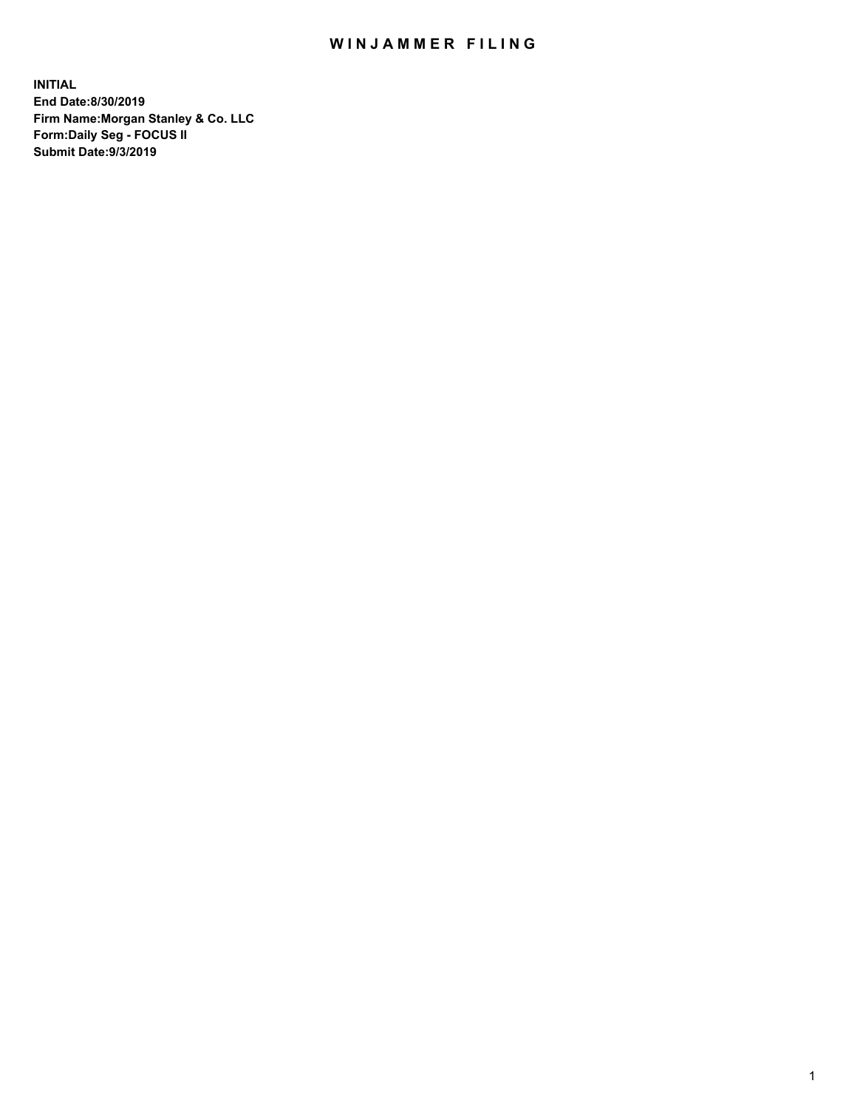## WIN JAMMER FILING

**INITIAL End Date:8/30/2019 Firm Name:Morgan Stanley & Co. LLC Form:Daily Seg - FOCUS II Submit Date:9/3/2019**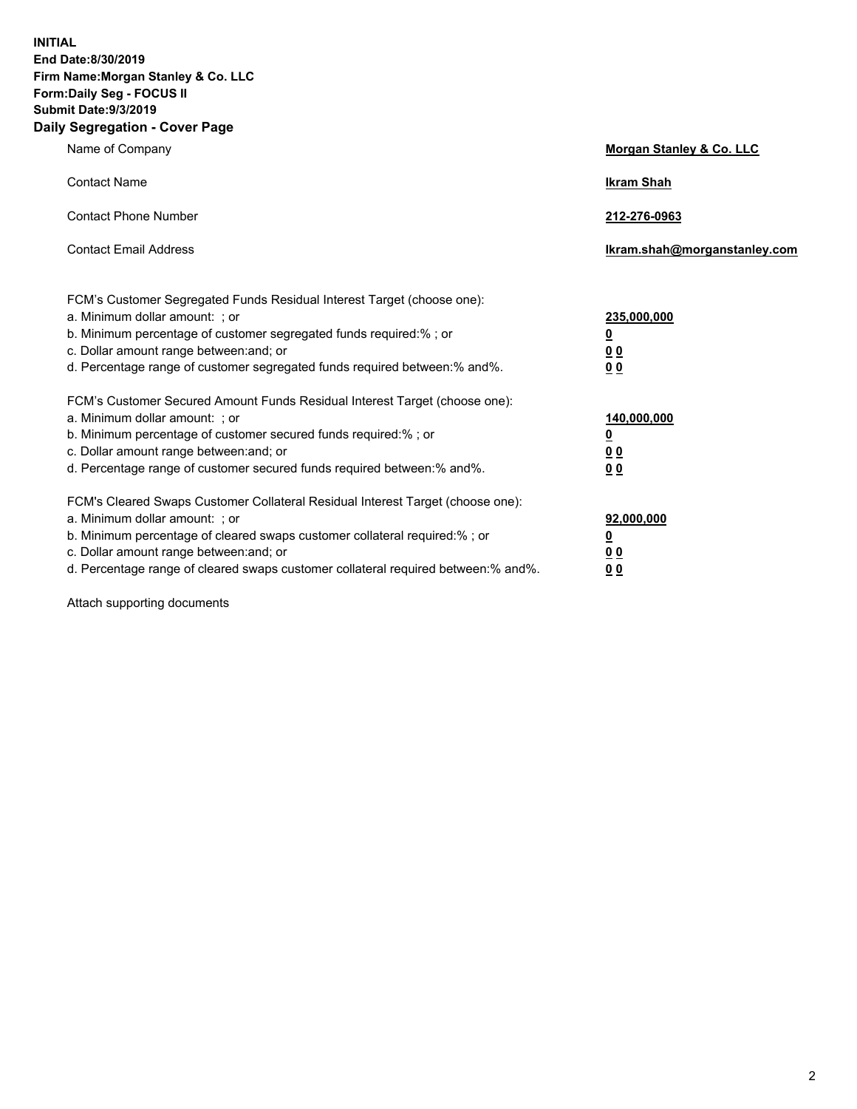**INITIAL End Date:8/30/2019 Firm Name:Morgan Stanley & Co. LLC Form:Daily Seg - FOCUS II Submit Date:9/3/2019 Daily Segregation - Cover Page**

| Name of Company                                                                                                                                                                                                                                                                                                                | Morgan Stanley & Co. LLC                                    |
|--------------------------------------------------------------------------------------------------------------------------------------------------------------------------------------------------------------------------------------------------------------------------------------------------------------------------------|-------------------------------------------------------------|
| <b>Contact Name</b>                                                                                                                                                                                                                                                                                                            | <b>Ikram Shah</b>                                           |
| <b>Contact Phone Number</b>                                                                                                                                                                                                                                                                                                    | 212-276-0963                                                |
| <b>Contact Email Address</b>                                                                                                                                                                                                                                                                                                   | Ikram.shah@morganstanley.com                                |
| FCM's Customer Segregated Funds Residual Interest Target (choose one):<br>a. Minimum dollar amount: ; or<br>b. Minimum percentage of customer segregated funds required:% ; or<br>c. Dollar amount range between: and; or<br>d. Percentage range of customer segregated funds required between: % and %.                       | 235,000,000<br><u>0</u><br>00<br>0 <sub>0</sub>             |
| FCM's Customer Secured Amount Funds Residual Interest Target (choose one):<br>a. Minimum dollar amount: ; or<br>b. Minimum percentage of customer secured funds required:% ; or<br>c. Dollar amount range between: and; or<br>d. Percentage range of customer secured funds required between:% and%.                           | 140,000,000<br><u>0</u><br>0 <sub>0</sub><br>0 <sub>0</sub> |
| FCM's Cleared Swaps Customer Collateral Residual Interest Target (choose one):<br>a. Minimum dollar amount: ; or<br>b. Minimum percentage of cleared swaps customer collateral required:% ; or<br>c. Dollar amount range between: and; or<br>d. Percentage range of cleared swaps customer collateral required between:% and%. | 92,000,000<br><u>0</u><br><u>00</u><br>0 <sub>0</sub>       |

Attach supporting documents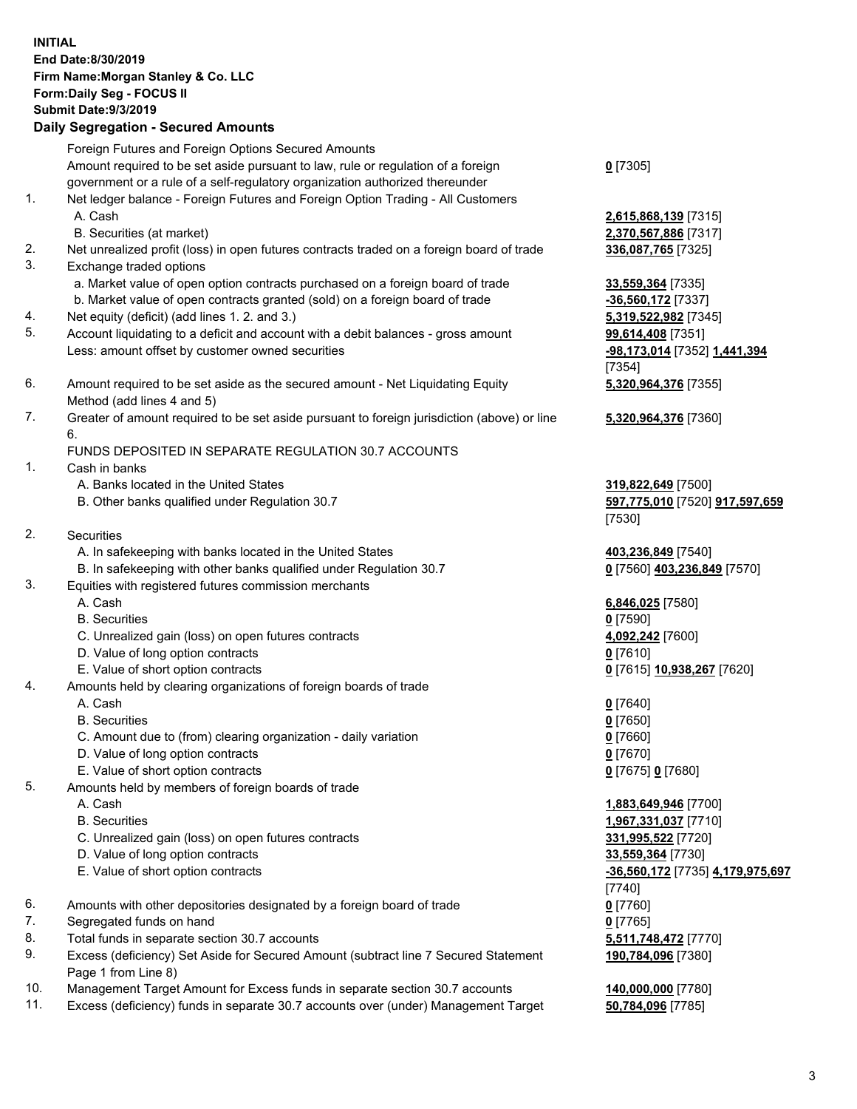|          | <b>INITIAL</b><br>End Date:8/30/2019<br>Firm Name: Morgan Stanley & Co. LLC<br>Form: Daily Seg - FOCUS II<br><b>Submit Date: 9/3/2019</b><br><b>Daily Segregation - Secured Amounts</b> |                                                                |
|----------|-----------------------------------------------------------------------------------------------------------------------------------------------------------------------------------------|----------------------------------------------------------------|
|          | Foreign Futures and Foreign Options Secured Amounts<br>Amount required to be set aside pursuant to law, rule or regulation of a foreign                                                 | $0$ [7305]                                                     |
| 1.       | government or a rule of a self-regulatory organization authorized thereunder<br>Net ledger balance - Foreign Futures and Foreign Option Trading - All Customers<br>A. Cash              | 2,615,868,139 [7315]                                           |
| 2.       | B. Securities (at market)<br>Net unrealized profit (loss) in open futures contracts traded on a foreign board of trade                                                                  | 2,370,567,886 [7317]<br>336,087,765 [7325]                     |
| 3.       | Exchange traded options                                                                                                                                                                 |                                                                |
|          | a. Market value of open option contracts purchased on a foreign board of trade<br>b. Market value of open contracts granted (sold) on a foreign board of trade                          | 33,559,364 [7335]<br>-36,560,172 [7337]                        |
| 4.<br>5. | Net equity (deficit) (add lines 1.2. and 3.)<br>Account liquidating to a deficit and account with a debit balances - gross amount                                                       | 5,319,522,982 [7345]<br>99,614,408 [7351]                      |
|          | Less: amount offset by customer owned securities                                                                                                                                        | -98,173,014 [7352] 1,441,394<br>[7354]                         |
| 6.       | Amount required to be set aside as the secured amount - Net Liquidating Equity<br>Method (add lines 4 and 5)                                                                            | 5,320,964,376 [7355]                                           |
| 7.       | Greater of amount required to be set aside pursuant to foreign jurisdiction (above) or line<br>6.                                                                                       | 5,320,964,376 [7360]                                           |
|          | FUNDS DEPOSITED IN SEPARATE REGULATION 30.7 ACCOUNTS                                                                                                                                    |                                                                |
| 1.       | Cash in banks<br>A. Banks located in the United States<br>B. Other banks qualified under Regulation 30.7                                                                                | 319,822,649 [7500]<br>597,775,010 [7520] 917,597,659<br>[7530] |
| 2.       | Securities                                                                                                                                                                              |                                                                |
|          | A. In safekeeping with banks located in the United States<br>B. In safekeeping with other banks qualified under Regulation 30.7                                                         | 403,236,849 [7540]                                             |
| 3.       | Equities with registered futures commission merchants                                                                                                                                   | 0 [7560] 403,236,849 [7570]                                    |
|          | A. Cash                                                                                                                                                                                 | 6,846,025 [7580]                                               |
|          | <b>B.</b> Securities<br>C. Unrealized gain (loss) on open futures contracts                                                                                                             | $0$ [7590]<br>4,092,242 [7600]                                 |
|          | D. Value of long option contracts                                                                                                                                                       | $0$ [7610]                                                     |
|          | E. Value of short option contracts                                                                                                                                                      | 0 [7615] 10,938,267 [7620]                                     |
| 4.       | Amounts held by clearing organizations of foreign boards of trade                                                                                                                       |                                                                |
|          | A. Cash<br><b>B.</b> Securities                                                                                                                                                         | $0$ [7640]                                                     |
|          | C. Amount due to (from) clearing organization - daily variation                                                                                                                         | <u>0</u> [7650]<br>$0$ [7660]                                  |
|          | D. Value of long option contracts                                                                                                                                                       | $0$ [7670]                                                     |
|          | E. Value of short option contracts                                                                                                                                                      | 0 [7675] 0 [7680]                                              |
| 5.       | Amounts held by members of foreign boards of trade                                                                                                                                      |                                                                |
|          | A. Cash                                                                                                                                                                                 | 1,883,649,946 [7700]                                           |
|          | <b>B.</b> Securities                                                                                                                                                                    | 1,967,331,037 [7710]                                           |
|          | C. Unrealized gain (loss) on open futures contracts                                                                                                                                     | 331,995,522 [7720]                                             |
|          | D. Value of long option contracts<br>E. Value of short option contracts                                                                                                                 | 33,559,364 [7730]<br>-36,560,172 [7735] 4,179,975,697          |
|          |                                                                                                                                                                                         | $[7740]$                                                       |
| 6.       | Amounts with other depositories designated by a foreign board of trade                                                                                                                  | $0$ [7760]                                                     |
| 7.       | Segregated funds on hand                                                                                                                                                                | $0$ [7765]                                                     |
| 8.       | Total funds in separate section 30.7 accounts                                                                                                                                           | 5,511,748,472 [7770]                                           |
| 9.       | Excess (deficiency) Set Aside for Secured Amount (subtract line 7 Secured Statement<br>Page 1 from Line 8)                                                                              | 190,784,096 [7380]                                             |

- 10. Management Target Amount for Excess funds in separate section 30.7 accounts **140,000,000** [7780]
- 11. Excess (deficiency) funds in separate 30.7 accounts over (under) Management Target **50,784,096** [7785]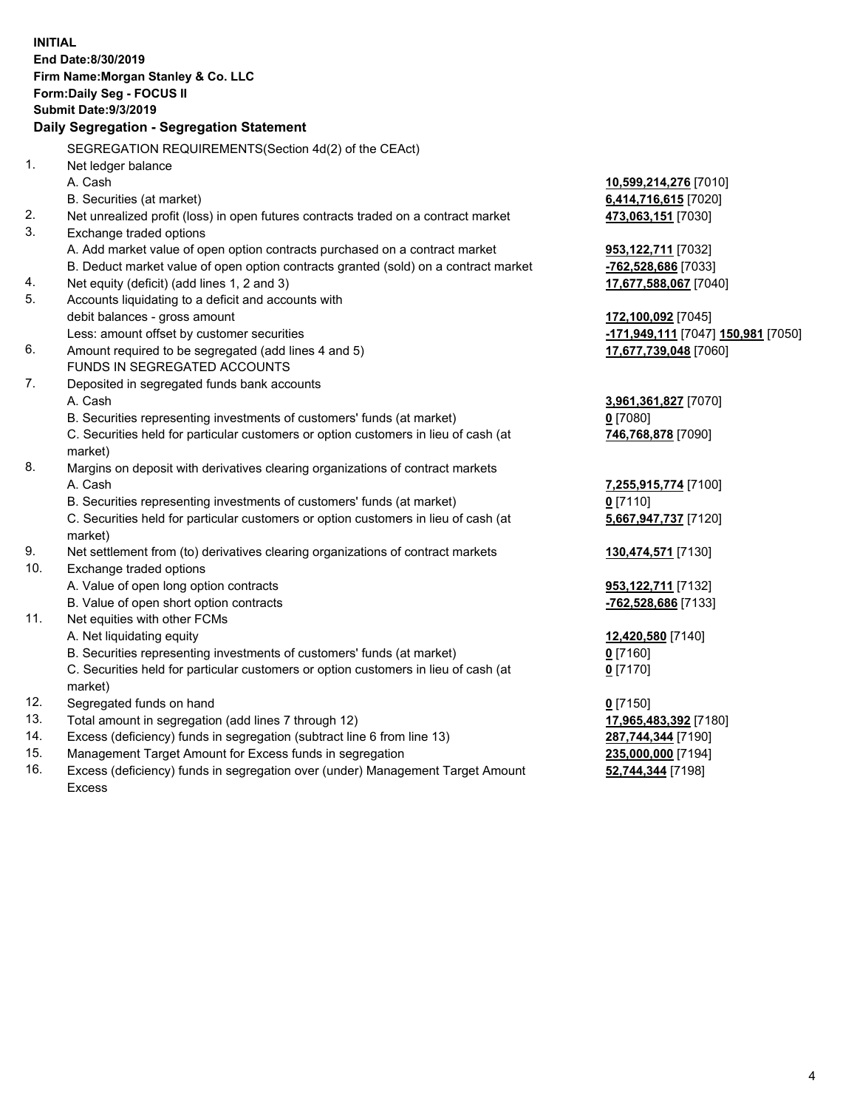|     | <b>INITIAL</b><br>End Date:8/30/2019<br>Firm Name: Morgan Stanley & Co. LLC<br>Form: Daily Seg - FOCUS II<br><b>Submit Date: 9/3/2019</b> |                                    |
|-----|-------------------------------------------------------------------------------------------------------------------------------------------|------------------------------------|
|     | Daily Segregation - Segregation Statement                                                                                                 |                                    |
|     | SEGREGATION REQUIREMENTS(Section 4d(2) of the CEAct)                                                                                      |                                    |
| 1.  | Net ledger balance                                                                                                                        |                                    |
|     | A. Cash                                                                                                                                   | 10,599,214,276 [7010]              |
|     | B. Securities (at market)                                                                                                                 | 6,414,716,615 [7020]               |
| 2.  | Net unrealized profit (loss) in open futures contracts traded on a contract market                                                        | 473,063,151 [7030]                 |
| 3.  | Exchange traded options                                                                                                                   |                                    |
|     | A. Add market value of open option contracts purchased on a contract market                                                               | <b>953,122,711</b> [7032]          |
|     | B. Deduct market value of open option contracts granted (sold) on a contract market                                                       | -762,528,686 [7033]                |
| 4.  | Net equity (deficit) (add lines 1, 2 and 3)                                                                                               | 17,677,588,067 [7040]              |
| 5.  | Accounts liquidating to a deficit and accounts with                                                                                       |                                    |
|     | debit balances - gross amount                                                                                                             | 172,100,092 [7045]                 |
|     | Less: amount offset by customer securities                                                                                                | -171,949,111 [7047] 150,981 [7050] |
| 6.  | Amount required to be segregated (add lines 4 and 5)                                                                                      | 17,677,739,048 [7060]              |
|     | FUNDS IN SEGREGATED ACCOUNTS                                                                                                              |                                    |
| 7.  | Deposited in segregated funds bank accounts                                                                                               |                                    |
|     | A. Cash                                                                                                                                   | 3,961,361,827 [7070]               |
|     | B. Securities representing investments of customers' funds (at market)                                                                    | 0 [7080]                           |
|     | C. Securities held for particular customers or option customers in lieu of cash (at                                                       | 746,768,878 [7090]                 |
|     | market)                                                                                                                                   |                                    |
| 8.  | Margins on deposit with derivatives clearing organizations of contract markets                                                            |                                    |
|     | A. Cash                                                                                                                                   | 7,255,915,774 [7100]               |
|     | B. Securities representing investments of customers' funds (at market)                                                                    | 0 [7110]                           |
|     | C. Securities held for particular customers or option customers in lieu of cash (at<br>market)                                            | 5,667,947,737 [7120]               |
| 9.  | Net settlement from (to) derivatives clearing organizations of contract markets                                                           | 130,474,571 [7130]                 |
| 10. | Exchange traded options                                                                                                                   |                                    |
|     | A. Value of open long option contracts                                                                                                    | 953, 122, 711 [7132]               |
|     | B. Value of open short option contracts                                                                                                   | -762,528,686 [7133]                |
| 11. | Net equities with other FCMs                                                                                                              |                                    |
|     | A. Net liquidating equity                                                                                                                 | 12,420,580 [7140]                  |
|     | B. Securities representing investments of customers' funds (at market)                                                                    | 0 <sup>[7160]</sup>                |
|     | C. Securities held for particular customers or option customers in lieu of cash (at<br>market)                                            | $0$ [7170]                         |
| 12. | Segregated funds on hand                                                                                                                  | $0$ [7150]                         |
| 13. | Total amount in segregation (add lines 7 through 12)                                                                                      | 17,965,483,392 [7180]              |
| 14. | Excess (deficiency) funds in segregation (subtract line 6 from line 13)                                                                   | 287,744,344 [7190]                 |
| 15. | Management Target Amount for Excess funds in segregation                                                                                  | 235,000,000 [7194]                 |
| 16. | Excess (deficiency) funds in segregation over (under) Management Target Amount                                                            | 52,744,344 [7198]                  |

16. Excess (deficiency) funds in segregation over (under) Management Target Amount Excess